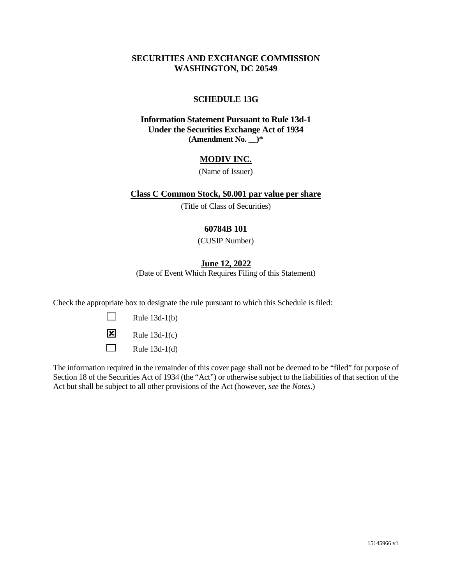# **SECURITIES AND EXCHANGE COMMISSION WASHINGTON, DC 20549**

## **SCHEDULE 13G**

# **Information Statement Pursuant to Rule 13d-1 Under the Securities Exchange Act of 1934 (Amendment No. \_\_)\***

## **MODIV INC.**

(Name of Issuer)

### **Class C Common Stock, \$0.001 par value per share**

(Title of Class of Securities)

# **60784B 101**

(CUSIP Number)

### **June 12, 2022**

(Date of Event Which Requires Filing of this Statement)

Check the appropriate box to designate the rule pursuant to which this Schedule is filed:

- $\sim$ Rule 13d-1(b)
- $\mathbf{X}$  Rule 13d-1(c)

 $\Box$ Rule 13d-1(d)

The information required in the remainder of this cover page shall not be deemed to be "filed" for purpose of Section 18 of the Securities Act of 1934 (the "Act") or otherwise subject to the liabilities of that section of the Act but shall be subject to all other provisions of the Act (however, *see* the *Notes*.)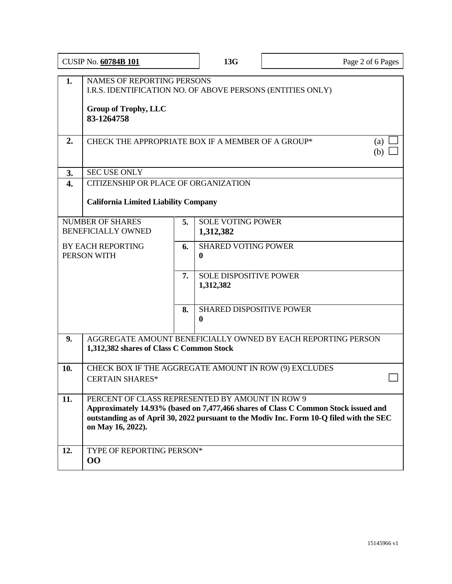| CUSIP No. 60784B 101                                       |                                                                                                                                                                                                                                                        | 13G                                        | Page 2 of 6 Pages                           |  |  |  |  |
|------------------------------------------------------------|--------------------------------------------------------------------------------------------------------------------------------------------------------------------------------------------------------------------------------------------------------|--------------------------------------------|---------------------------------------------|--|--|--|--|
| 1.                                                         | <b>NAMES OF REPORTING PERSONS</b><br>I.R.S. IDENTIFICATION NO. OF ABOVE PERSONS (ENTITIES ONLY)<br><b>Group of Trophy, LLC</b><br>83-1264758                                                                                                           |                                            |                                             |  |  |  |  |
| 2.                                                         | CHECK THE APPROPRIATE BOX IF A MEMBER OF A GROUP*<br>(a)<br>(b)                                                                                                                                                                                        |                                            |                                             |  |  |  |  |
| 3.                                                         | <b>SEC USE ONLY</b>                                                                                                                                                                                                                                    |                                            |                                             |  |  |  |  |
| $\overline{4}$ .                                           | <b>CITIZENSHIP OR PLACE OF ORGANIZATION</b>                                                                                                                                                                                                            |                                            |                                             |  |  |  |  |
|                                                            | <b>California Limited Liability Company</b>                                                                                                                                                                                                            |                                            |                                             |  |  |  |  |
| <b>NUMBER OF SHARES</b><br>5.<br><b>BENEFICIALLY OWNED</b> |                                                                                                                                                                                                                                                        |                                            | <b>SOLE VOTING POWER</b><br>1,312,382       |  |  |  |  |
| <b>BY EACH REPORTING</b><br>6.<br>PERSON WITH              |                                                                                                                                                                                                                                                        | <b>SHARED VOTING POWER</b><br>$\mathbf{0}$ |                                             |  |  |  |  |
|                                                            |                                                                                                                                                                                                                                                        | 7.                                         | <b>SOLE DISPOSITIVE POWER</b><br>1,312,382  |  |  |  |  |
|                                                            |                                                                                                                                                                                                                                                        | 8.                                         | <b>SHARED DISPOSITIVE POWER</b><br>$\bf{0}$ |  |  |  |  |
| 9.                                                         | AGGREGATE AMOUNT BENEFICIALLY OWNED BY EACH REPORTING PERSON<br>1,312,382 shares of Class C Common Stock                                                                                                                                               |                                            |                                             |  |  |  |  |
| 10.                                                        | CHECK BOX IF THE AGGREGATE AMOUNT IN ROW (9) EXCLUDES<br><b>CERTAIN SHARES*</b>                                                                                                                                                                        |                                            |                                             |  |  |  |  |
| 11.                                                        | PERCENT OF CLASS REPRESENTED BY AMOUNT IN ROW 9<br>Approximately 14.93% (based on 7,477,466 shares of Class C Common Stock issued and<br>outstanding as of April 30, 2022 pursuant to the Modiv Inc. Form 10-Q filed with the SEC<br>on May 16, 2022). |                                            |                                             |  |  |  |  |
| 12.                                                        | TYPE OF REPORTING PERSON*<br>00                                                                                                                                                                                                                        |                                            |                                             |  |  |  |  |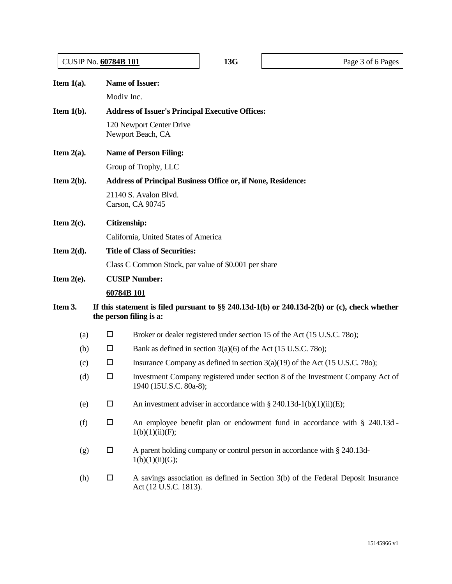| CUSIP No. 60784B 101                    |            |                                                                     | 13G | Page 3 of 6 Pages                                                                              |  |  |  |
|-----------------------------------------|------------|---------------------------------------------------------------------|-----|------------------------------------------------------------------------------------------------|--|--|--|
| Item $1(a)$ .<br><b>Name of Issuer:</b> |            |                                                                     |     |                                                                                                |  |  |  |
|                                         | Modiv Inc. |                                                                     |     |                                                                                                |  |  |  |
| Item $1(b)$ .                           |            | <b>Address of Issuer's Principal Executive Offices:</b>             |     |                                                                                                |  |  |  |
|                                         |            | 120 Newport Center Drive<br>Newport Beach, CA                       |     |                                                                                                |  |  |  |
| Item $2(a)$ .                           |            | <b>Name of Person Filing:</b>                                       |     |                                                                                                |  |  |  |
|                                         |            | Group of Trophy, LLC                                                |     |                                                                                                |  |  |  |
| Item $2(b)$ .                           |            | <b>Address of Principal Business Office or, if None, Residence:</b> |     |                                                                                                |  |  |  |
|                                         |            | 21140 S. Avalon Blvd.<br>Carson, CA 90745                           |     |                                                                                                |  |  |  |
| Item $2(c)$ .                           |            | <b>Citizenship:</b>                                                 |     |                                                                                                |  |  |  |
|                                         |            | California, United States of America                                |     |                                                                                                |  |  |  |
| Item $2(d)$ .                           |            | <b>Title of Class of Securities:</b>                                |     |                                                                                                |  |  |  |
|                                         |            | Class C Common Stock, par value of \$0.001 per share                |     |                                                                                                |  |  |  |
| Item $2(e)$ .                           |            | <b>CUSIP Number:</b>                                                |     |                                                                                                |  |  |  |
|                                         |            | 60784B 101                                                          |     |                                                                                                |  |  |  |
| Item 3.                                 |            | the person filing is a:                                             |     | If this statement is filed pursuant to $\S$ 240.13d-1(b) or 240.13d-2(b) or (c), check whether |  |  |  |
| (a)                                     | □          |                                                                     |     | Broker or dealer registered under section 15 of the Act (15 U.S.C. 780);                       |  |  |  |
| (b)                                     | □          | Bank as defined in section $3(a)(6)$ of the Act (15 U.S.C. 780);    |     |                                                                                                |  |  |  |
| (c)                                     | □          |                                                                     |     | Insurance Company as defined in section $3(a)(19)$ of the Act (15 U.S.C. 780);                 |  |  |  |
| (d)                                     | $\Box$     | 1940 (15U.S.C. 80a-8);                                              |     | Investment Company registered under section 8 of the Investment Company Act of                 |  |  |  |
| (e)                                     | $\Box$     |                                                                     |     | An investment adviser in accordance with § 240.13d-1(b)(1)(ii)(E);                             |  |  |  |
| (f)                                     | $\Box$     | 1(b)(1)(ii)(F);                                                     |     | An employee benefit plan or endowment fund in accordance with § 240.13d -                      |  |  |  |
| (g)                                     | □          | 1(b)(1)(ii)(G);                                                     |     | A parent holding company or control person in accordance with § 240.13d-                       |  |  |  |
| (h)                                     | ◻          | Act (12 U.S.C. 1813).                                               |     | A savings association as defined in Section 3(b) of the Federal Deposit Insurance              |  |  |  |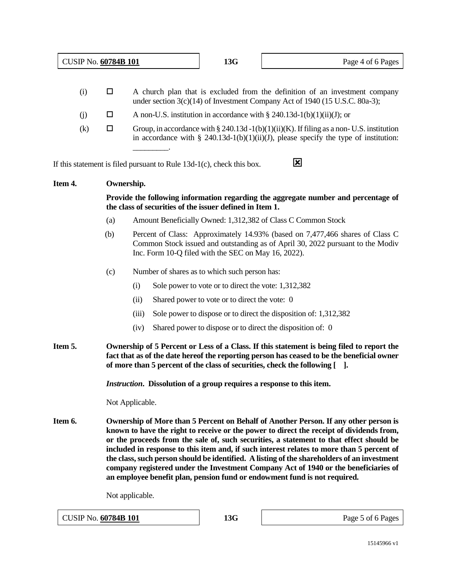| <b>CUSIP No. 60784B 101</b> |   |                                                                                                                                                                                                                                                                                                                                                         | 13G | Page 4 of 6 Pages |
|-----------------------------|---|---------------------------------------------------------------------------------------------------------------------------------------------------------------------------------------------------------------------------------------------------------------------------------------------------------------------------------------------------------|-----|-------------------|
| (i)                         |   | A church plan that is excluded from the definition of an investment company<br>under section $3(c)(14)$ of Investment Company Act of 1940 (15 U.S.C. 80a-3);                                                                                                                                                                                            |     |                   |
| (j)                         |   | A non-U.S. institution in accordance with § 240.13d-1(b)(1)(ii)(J); or                                                                                                                                                                                                                                                                                  |     |                   |
| $\rm(k)$                    | ப | Group, in accordance with $\S 240.13d - 1(b)(1)(ii)(K)$ . If filing as a non-U.S. institution<br>in accordance with § 240.13d-1(b)(1)(ii)(J), please specify the type of institution:                                                                                                                                                                   |     |                   |
|                             |   | $\mathbf{r}_{\mathbf{c}}$ and the compact of $\mathbf{r}_{\mathbf{c}}$ . The compact of $\mathbf{r}_{\mathbf{c}}$ , $\mathbf{r}_{\mathbf{c}}$ , $\mathbf{r}_{\mathbf{c}}$ , $\mathbf{r}_{\mathbf{c}}$ , $\mathbf{r}_{\mathbf{c}}$ , $\mathbf{r}_{\mathbf{c}}$ , $\mathbf{r}_{\mathbf{c}}$ , $\mathbf{r}_{\mathbf{c}}$ , $\mathbf{r}_{\mathbf{c}}$ , $\$ |     |                   |

If this statement is filed pursuant to Rule 13d-1(c), check this box.

### **Item 4. Ownership.**

**Provide the following information regarding the aggregate number and percentage of the class of securities of the issuer defined in Item 1.** 

- (a) Amount Beneficially Owned: 1,312,382 of Class C Common Stock
- (b) Percent of Class: Approximately 14.93% (based on 7,477,466 shares of Class C Common Stock issued and outstanding as of April 30, 2022 pursuant to the Modiv Inc. Form 10-Q filed with the SEC on May 16, 2022).
- (c) Number of shares as to which such person has:
	- (i) Sole power to vote or to direct the vote: 1,312,382
	- (ii) Shared power to vote or to direct the vote: 0
	- (iii) Sole power to dispose or to direct the disposition of: 1,312,382
	- (iv) Shared power to dispose or to direct the disposition of: 0
- **Item 5. Ownership of 5 Percent or Less of a Class. If this statement is being filed to report the fact that as of the date hereof the reporting person has ceased to be the beneficial owner of more than 5 percent of the class of securities, check the following [ ].**

*Instruction***. Dissolution of a group requires a response to this item.** 

Not Applicable.

**Item 6. Ownership of More than 5 Percent on Behalf of Another Person. If any other person is known to have the right to receive or the power to direct the receipt of dividends from, or the proceeds from the sale of, such securities, a statement to that effect should be included in response to this item and, if such interest relates to more than 5 percent of the class, such person should be identified. A listing of the shareholders of an investment company registered under the Investment Company Act of 1940 or the beneficiaries of an employee benefit plan, pension fund or endowment fund is not required.** 

Not applicable.

CUSIP No. **60784B 101 13G** Page 5 of 6 Pages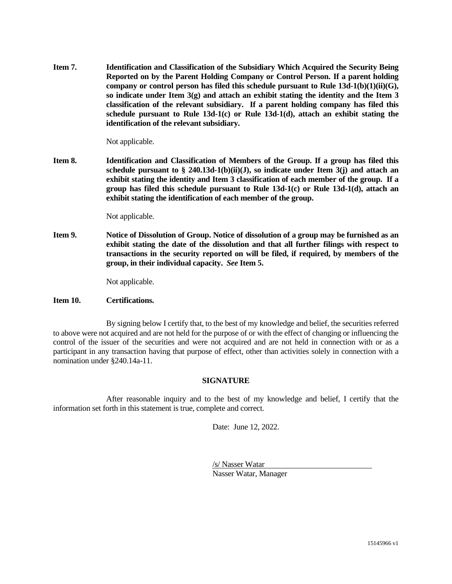**Item 7. Identification and Classification of the Subsidiary Which Acquired the Security Being Reported on by the Parent Holding Company or Control Person. If a parent holding**  company or control person has filed this schedule pursuant to Rule  $13d-1(b)(1)(ii)(G)$ , **so indicate under Item 3(g) and attach an exhibit stating the identity and the Item 3 classification of the relevant subsidiary. If a parent holding company has filed this schedule pursuant to Rule 13d-1(c) or Rule 13d-1(d), attach an exhibit stating the identification of the relevant subsidiary.** 

Not applicable.

**Item 8. Identification and Classification of Members of the Group. If a group has filed this**  schedule pursuant to  $\S$  240.13d-1(b)(ii)(J), so indicate under Item 3(j) and attach an **exhibit stating the identity and Item 3 classification of each member of the group. If a group has filed this schedule pursuant to Rule 13d-1(c) or Rule 13d-1(d), attach an exhibit stating the identification of each member of the group.** 

Not applicable.

**Item 9. Notice of Dissolution of Group. Notice of dissolution of a group may be furnished as an exhibit stating the date of the dissolution and that all further filings with respect to transactions in the security reported on will be filed, if required, by members of the group, in their individual capacity.** *See* **Item 5.** 

Not applicable.

#### **Item 10. Certifications.**

By signing below I certify that, to the best of my knowledge and belief, the securities referred to above were not acquired and are not held for the purpose of or with the effect of changing or influencing the control of the issuer of the securities and were not acquired and are not held in connection with or as a participant in any transaction having that purpose of effect, other than activities solely in connection with a nomination under §240.14a-11.

#### **SIGNATURE**

After reasonable inquiry and to the best of my knowledge and belief, I certify that the information set forth in this statement is true, complete and correct.

Date: June 12, 2022.

/s/ Nasser Watar Nasser Watar, Manager